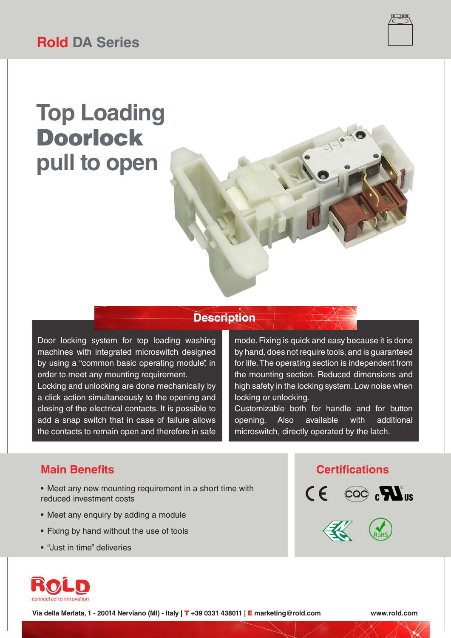

# **Top Loading** Doorlock **pull to open**



Door locking system for top loading washing machines with integrated microswitch designed by using a "common basic operating module", in order to meet any mounting requirement.

Locking and unlocking are done mechanically by a click action simultaneously to the opening and closing of the electrical contacts. It is possible to add a snap switch that in case of failure allows the contacts to remain open and therefore in safe

mode. Fixing is quick and easy because it is done by hand, does not require tools, and is guaranteed for life. The operating section is independent from the mounting section. Reduced dimensions and high safety in the locking system. Low noise when locking or unlocking.

Customizable both for handle and for button opening. Also available with additional microswitch, directly operated by the latch.

### **Main Benefits Certifications**

- Meet any new mounting requirement in a short time with reduced investment costs
- Meet any enquiry by adding a module
- Fixing by hand without the use of tools
- "Just in time" deliveries